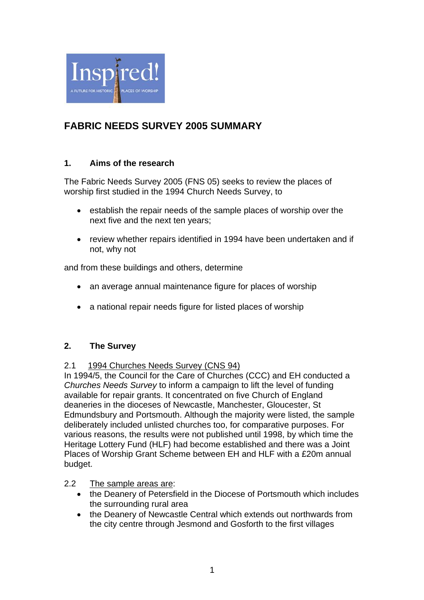

# **FABRIC NEEDS SURVEY 2005 SUMMARY**

# **1. Aims of the research**

The Fabric Needs Survey 2005 (FNS 05) seeks to review the places of worship first studied in the 1994 Church Needs Survey, to

- establish the repair needs of the sample places of worship over the next five and the next ten years;
- review whether repairs identified in 1994 have been undertaken and if not, why not

and from these buildings and others, determine

- an average annual maintenance figure for places of worship
- a national repair needs figure for listed places of worship

# **2. The Survey**

# 2.1 1994 Churches Needs Survey (CNS 94)

In 1994/5, the Council for the Care of Churches (CCC) and EH conducted a *Churches Needs Survey* to inform a campaign to lift the level of funding available for repair grants. It concentrated on five Church of England deaneries in the dioceses of Newcastle, Manchester, Gloucester, St Edmundsbury and Portsmouth. Although the majority were listed, the sample deliberately included unlisted churches too, for comparative purposes. For various reasons, the results were not published until 1998, by which time the Heritage Lottery Fund (HLF) had become established and there was a Joint Places of Worship Grant Scheme between EH and HLF with a £20m annual budget.

# 2.2 The sample areas are:

- the Deanery of Petersfield in the Diocese of Portsmouth which includes the surrounding rural area
- the Deanery of Newcastle Central which extends out northwards from the city centre through Jesmond and Gosforth to the first villages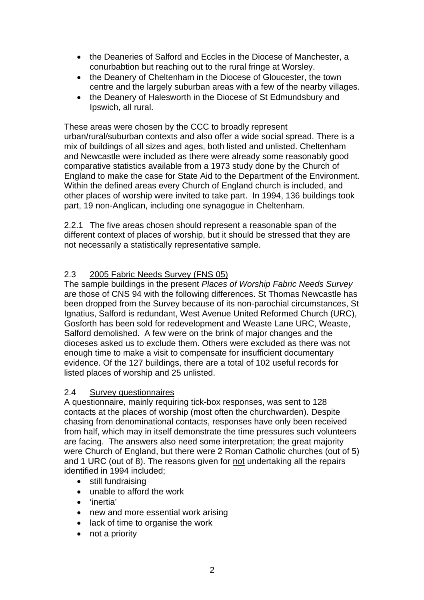- the Deaneries of Salford and Eccles in the Diocese of Manchester, a conurbabtion but reaching out to the rural fringe at Worsley.
- the Deanery of Cheltenham in the Diocese of Gloucester, the town centre and the largely suburban areas with a few of the nearby villages.
- the Deanery of Halesworth in the Diocese of St Edmundsbury and Ipswich, all rural.

These areas were chosen by the CCC to broadly represent urban/rural/suburban contexts and also offer a wide social spread. There is a mix of buildings of all sizes and ages, both listed and unlisted. Cheltenham and Newcastle were included as there were already some reasonably good comparative statistics available from a 1973 study done by the Church of England to make the case for State Aid to the Department of the Environment. Within the defined areas every Church of England church is included, and other places of worship were invited to take part. In 1994, 136 buildings took part, 19 non-Anglican, including one synagogue in Cheltenham.

2.2.1 The five areas chosen should represent a reasonable span of the different context of places of worship, but it should be stressed that they are not necessarily a statistically representative sample.

# 2.3 2005 Fabric Needs Survey (FNS 05)

The sample buildings in the present *Places of Worship Fabric Needs Survey* are those of CNS 94 with the following differences. St Thomas Newcastle has been dropped from the Survey because of its non-parochial circumstances, St Ignatius, Salford is redundant, West Avenue United Reformed Church (URC), Gosforth has been sold for redevelopment and Weaste Lane URC, Weaste, Salford demolished. A few were on the brink of major changes and the dioceses asked us to exclude them. Others were excluded as there was not enough time to make a visit to compensate for insufficient documentary evidence. Of the 127 buildings, there are a total of 102 useful records for listed places of worship and 25 unlisted.

# 2.4 Survey questionnaires

A questionnaire, mainly requiring tick-box responses, was sent to 128 contacts at the places of worship (most often the churchwarden). Despite chasing from denominational contacts, responses have only been received from half, which may in itself demonstrate the time pressures such volunteers are facing. The answers also need some interpretation; the great majority were Church of England, but there were 2 Roman Catholic churches (out of 5) and 1 URC (out of 8). The reasons given for not undertaking all the repairs identified in 1994 included;

- still fundraising
- unable to afford the work
- 'inertia'
- new and more essential work arising
- lack of time to organise the work
- not a priority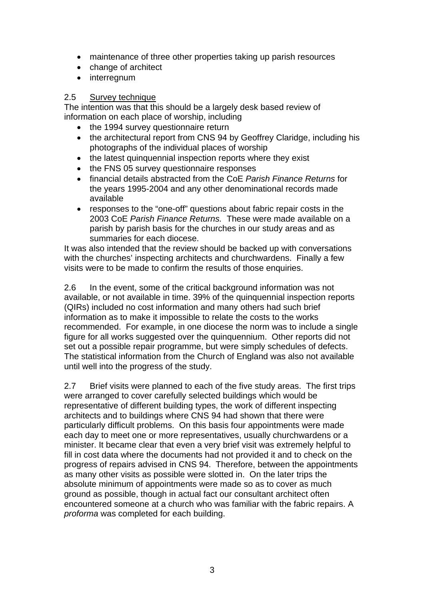- maintenance of three other properties taking up parish resources
- change of architect
- interregnum

#### 2.5 Survey technique

The intention was that this should be a largely desk based review of information on each place of worship, including

- the 1994 survey questionnaire return
- the architectural report from CNS 94 by Geoffrey Claridge, including his photographs of the individual places of worship
- the latest quinquennial inspection reports where they exist
- the FNS 05 survey questionnaire responses
- financial details abstracted from the CoE *Parish Finance Returns* for the years 1995-2004 and any other denominational records made available
- responses to the "one-off" questions about fabric repair costs in the 2003 CoE *Parish Finance Returns.* These were made available on a parish by parish basis for the churches in our study areas and as summaries for each diocese.

It was also intended that the review should be backed up with conversations with the churches' inspecting architects and churchwardens. Finally a few visits were to be made to confirm the results of those enquiries.

2.6 In the event, some of the critical background information was not available, or not available in time. 39% of the quinquennial inspection reports (QIRs) included no cost information and many others had such brief information as to make it impossible to relate the costs to the works recommended. For example, in one diocese the norm was to include a single figure for all works suggested over the quinquennium. Other reports did not set out a possible repair programme, but were simply schedules of defects. The statistical information from the Church of England was also not available until well into the progress of the study.

2.7 Brief visits were planned to each of the five study areas. The first trips were arranged to cover carefully selected buildings which would be representative of different building types, the work of different inspecting architects and to buildings where CNS 94 had shown that there were particularly difficult problems. On this basis four appointments were made each day to meet one or more representatives, usually churchwardens or a minister. It became clear that even a very brief visit was extremely helpful to fill in cost data where the documents had not provided it and to check on the progress of repairs advised in CNS 94. Therefore, between the appointments as many other visits as possible were slotted in. On the later trips the absolute minimum of appointments were made so as to cover as much ground as possible, though in actual fact our consultant architect often encountered someone at a church who was familiar with the fabric repairs. A *proforma* was completed for each building.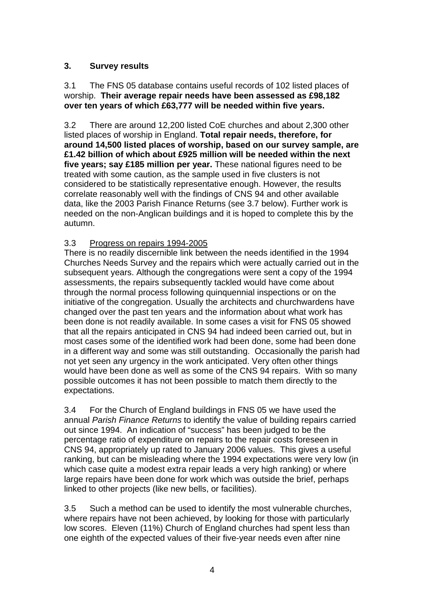# **3. Survey results**

#### 3.1 The FNS 05 database contains useful records of 102 listed places of worship. **Their average repair needs have been assessed as £98,182 over ten years of which £63,777 will be needed within five years.**

3.2 There are around 12,200 listed CoE churches and about 2,300 other listed places of worship in England. **Total repair needs, therefore, for around 14,500 listed places of worship, based on our survey sample, are £1.42 billion of which about £925 million will be needed within the next five years; say £185 million per year.** These national figures need to be treated with some caution, as the sample used in five clusters is not considered to be statistically representative enough. However, the results correlate reasonably well with the findings of CNS 94 and other available data, like the 2003 Parish Finance Returns (see 3.7 below). Further work is needed on the non-Anglican buildings and it is hoped to complete this by the autumn.

# 3.3 Progress on repairs 1994-2005

There is no readily discernible link between the needs identified in the 1994 Churches Needs Survey and the repairs which were actually carried out in the subsequent years. Although the congregations were sent a copy of the 1994 assessments, the repairs subsequently tackled would have come about through the normal process following quinquennial inspections or on the initiative of the congregation. Usually the architects and churchwardens have changed over the past ten years and the information about what work has been done is not readily available. In some cases a visit for FNS 05 showed that all the repairs anticipated in CNS 94 had indeed been carried out, but in most cases some of the identified work had been done, some had been done in a different way and some was still outstanding. Occasionally the parish had not yet seen any urgency in the work anticipated. Very often other things would have been done as well as some of the CNS 94 repairs. With so many possible outcomes it has not been possible to match them directly to the expectations.

3.4 For the Church of England buildings in FNS 05 we have used the annual *Parish Finance Returns* to identify the value of building repairs carried out since 1994. An indication of "success" has been judged to be the percentage ratio of expenditure on repairs to the repair costs foreseen in CNS 94, appropriately up rated to January 2006 values. This gives a useful ranking, but can be misleading where the 1994 expectations were very low (in which case quite a modest extra repair leads a very high ranking) or where large repairs have been done for work which was outside the brief, perhaps linked to other projects (like new bells, or facilities).

3.5 Such a method can be used to identify the most vulnerable churches, where repairs have not been achieved, by looking for those with particularly low scores. Eleven (11%) Church of England churches had spent less than one eighth of the expected values of their five-year needs even after nine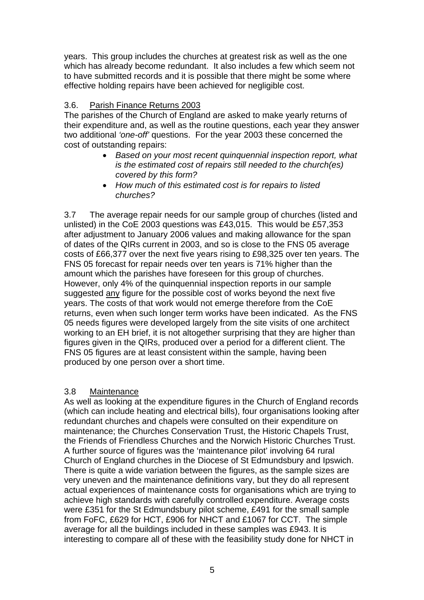years. This group includes the churches at greatest risk as well as the one which has already become redundant. It also includes a few which seem not to have submitted records and it is possible that there might be some where effective holding repairs have been achieved for negligible cost.

# 3.6. Parish Finance Returns 2003

The parishes of the Church of England are asked to make yearly returns of their expenditure and, as well as the routine questions, each year they answer two additional *'one-off'* questions. For the year 2003 these concerned the cost of outstanding repairs:

- *Based on your most recent quinquennial inspection report, what is the estimated cost of repairs still needed to the church(es) covered by this form?*
- *How much of this estimated cost is for repairs to listed churches?*

3.7 The average repair needs for our sample group of churches (listed and unlisted) in the CoE 2003 questions was £43,015. This would be £57,353 after adjustment to January 2006 values and making allowance for the span of dates of the QIRs current in 2003, and so is close to the FNS 05 average costs of £66,377 over the next five years rising to £98,325 over ten years. The FNS 05 forecast for repair needs over ten years is 71% higher than the amount which the parishes have foreseen for this group of churches. However, only 4% of the quinquennial inspection reports in our sample suggested any figure for the possible cost of works beyond the next five years. The costs of that work would not emerge therefore from the CoE returns, even when such longer term works have been indicated. As the FNS 05 needs figures were developed largely from the site visits of one architect working to an EH brief, it is not altogether surprising that they are higher than figures given in the QIRs, produced over a period for a different client. The FNS 05 figures are at least consistent within the sample, having been produced by one person over a short time.

# 3.8 Maintenance

As well as looking at the expenditure figures in the Church of England records (which can include heating and electrical bills), four organisations looking after redundant churches and chapels were consulted on their expenditure on maintenance; the Churches Conservation Trust, the Historic Chapels Trust, the Friends of Friendless Churches and the Norwich Historic Churches Trust. A further source of figures was the 'maintenance pilot' involving 64 rural Church of England churches in the Diocese of St Edmundsbury and Ipswich. There is quite a wide variation between the figures, as the sample sizes are very uneven and the maintenance definitions vary, but they do all represent actual experiences of maintenance costs for organisations which are trying to achieve high standards with carefully controlled expenditure. Average costs were £351 for the St Edmundsbury pilot scheme, £491 for the small sample from FoFC, £629 for HCT, £906 for NHCT and £1067 for CCT. The simple average for all the buildings included in these samples was £943. It is interesting to compare all of these with the feasibility study done for NHCT in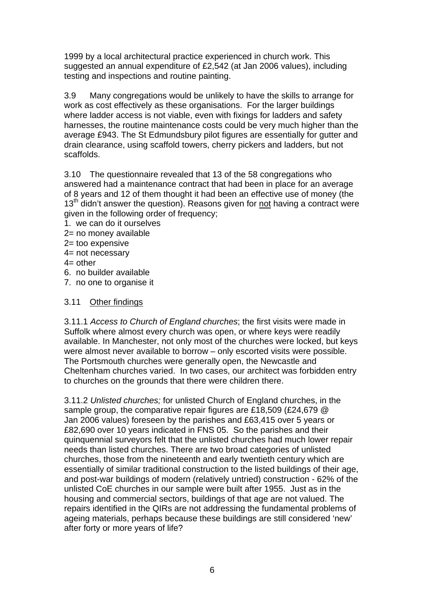1999 by a local architectural practice experienced in church work. This suggested an annual expenditure of £2,542 (at Jan 2006 values), including testing and inspections and routine painting.

3.9 Many congregations would be unlikely to have the skills to arrange for work as cost effectively as these organisations. For the larger buildings where ladder access is not viable, even with fixings for ladders and safety harnesses, the routine maintenance costs could be very much higher than the average £943. The St Edmundsbury pilot figures are essentially for gutter and drain clearance, using scaffold towers, cherry pickers and ladders, but not scaffolds.

3.10 The questionnaire revealed that 13 of the 58 congregations who answered had a maintenance contract that had been in place for an average of 8 years and 12 of them thought it had been an effective use of money (the  $13<sup>th</sup>$  didn't answer the question). Reasons given for not having a contract were given in the following order of frequency;

- 1. we can do it ourselves
- 2= no money available
- 2= too expensive
- 4= not necessary
- $4=$  other
- 6. no builder available
- 7. no one to organise it

### 3.11 Other findings

3.11.1 *Access to Church of England churches*; the first visits were made in Suffolk where almost every church was open, or where keys were readily available. In Manchester, not only most of the churches were locked, but keys were almost never available to borrow – only escorted visits were possible. The Portsmouth churches were generally open, the Newcastle and Cheltenham churches varied. In two cases, our architect was forbidden entry to churches on the grounds that there were children there.

3.11.2 *Unlisted churches;* for unlisted Church of England churches, in the sample group, the comparative repair figures are £18,509 (£24,679 @ Jan 2006 values) foreseen by the parishes and £63,415 over 5 years or £82,690 over 10 years indicated in FNS 05. So the parishes and their quinquennial surveyors felt that the unlisted churches had much lower repair needs than listed churches. There are two broad categories of unlisted churches, those from the nineteenth and early twentieth century which are essentially of similar traditional construction to the listed buildings of their age, and post-war buildings of modern (relatively untried) construction - 62% of the unlisted CoE churches in our sample were built after 1955. Just as in the housing and commercial sectors, buildings of that age are not valued. The repairs identified in the QIRs are not addressing the fundamental problems of ageing materials, perhaps because these buildings are still considered 'new' after forty or more years of life?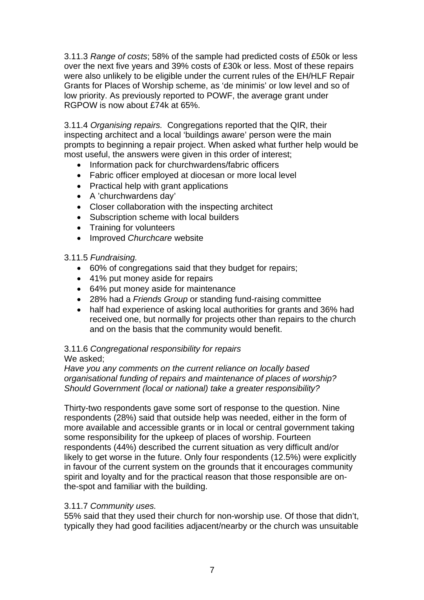3.11.3 *Range of costs*; 58% of the sample had predicted costs of £50k or less over the next five years and 39% costs of £30k or less. Most of these repairs were also unlikely to be eligible under the current rules of the EH/HLF Repair Grants for Places of Worship scheme, as 'de minimis' or low level and so of low priority. As previously reported to POWF, the average grant under RGPOW is now about £74k at 65%.

3.11.4 *Organising repairs.* Congregations reported that the QIR, their inspecting architect and a local 'buildings aware' person were the main prompts to beginning a repair project. When asked what further help would be most useful, the answers were given in this order of interest;

- Information pack for churchwardens/fabric officers
- Fabric officer employed at diocesan or more local level
- Practical help with grant applications
- A 'churchwardens day'
- Closer collaboration with the inspecting architect
- Subscription scheme with local builders
- Training for volunteers
- Improved *Churchcare* website

#### 3.11.5 *Fundraising.*

- 60% of congregations said that they budget for repairs;
- 41% put money aside for repairs
- 64% put money aside for maintenance
- 28% had a *Friends Group* or standing fund-raising committee
- half had experience of asking local authorities for grants and 36% had received one, but normally for projects other than repairs to the church and on the basis that the community would benefit.

# 3.11.6 *Congregational responsibility for repairs*

We asked;

*Have you any comments on the current reliance on locally based organisational funding of repairs and maintenance of places of worship? Should Government (local or national) take a greater responsibility?* 

Thirty-two respondents gave some sort of response to the question. Nine respondents (28%) said that outside help was needed, either in the form of more available and accessible grants or in local or central government taking some responsibility for the upkeep of places of worship. Fourteen respondents (44%) described the current situation as very difficult and/or likely to get worse in the future. Only four respondents (12.5%) were explicitly in favour of the current system on the grounds that it encourages community spirit and loyalty and for the practical reason that those responsible are onthe-spot and familiar with the building.

#### 3.11.7 *Community uses.*

55% said that they used their church for non-worship use. Of those that didn't, typically they had good facilities adjacent/nearby or the church was unsuitable